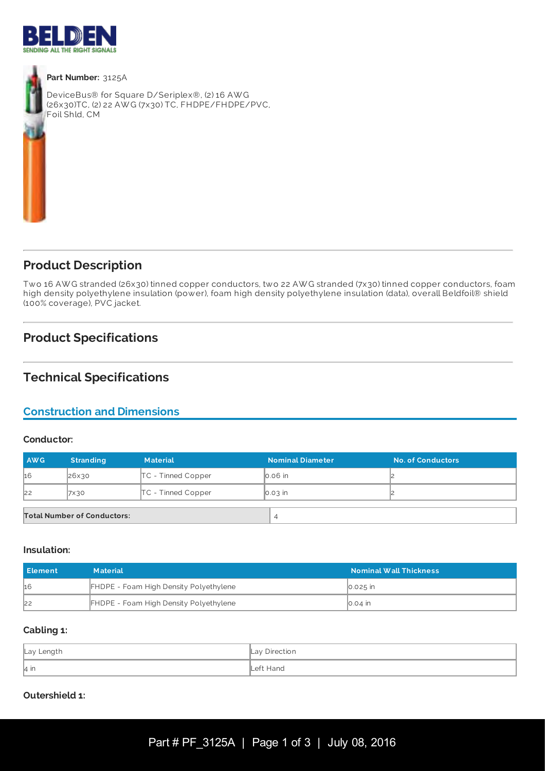



#### **Part Number:** 3125A

DeviceBus® for Square D/Seriplex®, (2) 16 AW G (26x30)TC, (2) 22 AW G (7x30) TC, FHDPE/FHDPE/PVC, Foil Shld, CM



# **Product Description**

Two 16 AW G stranded (26x30) tinned copper conductors, two 22 AW G stranded (7x30) tinned copper conductors, foam high density polyethylene insulation (power), foam high density polyethylene insulation (data), overall Beldfoil® shield (100% coverage), PVC jacket.

# **Product Specifications**

# **Technical Specifications**

# **Construction and Dimensions**

### **Conductor:**

| <b>AWG</b>                         | <b>Stranding</b> | <b>Material</b>      | <b>Nominal Diameter</b> | <b>No. of Conductors</b> |
|------------------------------------|------------------|----------------------|-------------------------|--------------------------|
| 16                                 | 26x30            | $TC$ - Tinned Copper | $\vert$ 0.06 $\vert$ n  |                          |
| 22                                 | 7×30             | $TC$ - Tinned Copper | $\big  0.03 \big $ in   |                          |
|                                    |                  |                      |                         |                          |
| <b>Total Number of Conductors:</b> |                  |                      | 4                       |                          |

#### **Insulation:**

| l Element | <b>Material</b>                               | <b>Nominal Wall Thickness</b> |
|-----------|-----------------------------------------------|-------------------------------|
| h6        | <b>FHDPE - Foam High Density Polyethylene</b> | $\vert$ 0.025 $\vert$ in      |
| 22        | FHDPE - Foam High Density Polyethylene        | ∥0.04 in                      |

### **Cabling 1:**

| Lay Length | Lay Direction |
|------------|---------------|
| 4 in       | Left Hand     |

### **Outershield 1:**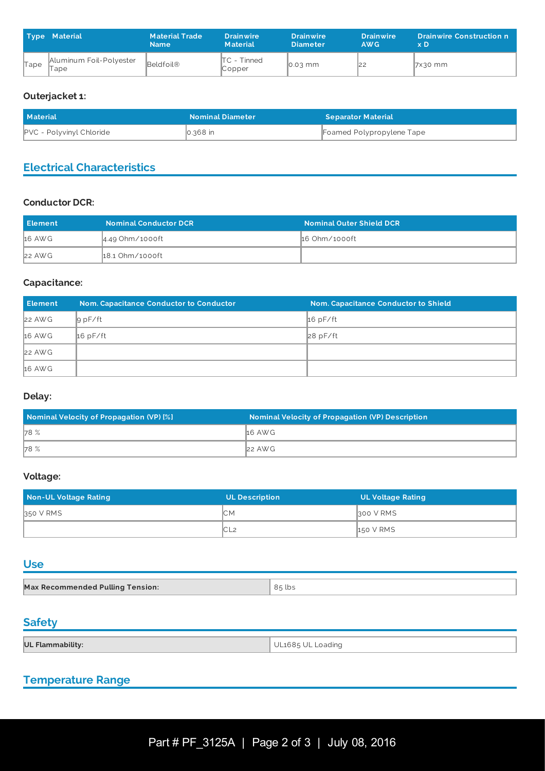|      | <b>Type Material</b>            | <b>Material Trade</b><br><b>Name</b> | <b>Drainwire</b><br><b>Material</b> | <b>Drainwire</b><br><b>Diameter</b> | <b>Drainwire</b><br>AW <sub>G</sub> | <b>Drainwire Construction n</b><br>x D |
|------|---------------------------------|--------------------------------------|-------------------------------------|-------------------------------------|-------------------------------------|----------------------------------------|
| Tape | Aluminum Foil-Polyester<br>lape | Beldfoil®                            | $\mathsf{ITC}$ - Tinned<br>Copper   | $\vert$ 0.03 mm                     | 122                                 | $7x30$ mm                              |

## **Outerjacket 1:**

| <b>Material</b>                 | <b>Nominal Diameter</b> | <b>Separator Material</b> |
|---------------------------------|-------------------------|---------------------------|
| <b>PVC</b> - Polyvinyl Chloride | $ 0.368 $ in            | Foamed Polypropylene Tape |

# **Electrical Characteristics**

## **Conductor DCR:**

| l Element | <b>Nominal Conductor DCR</b> | Nominal Outer Shield DCR |
|-----------|------------------------------|--------------------------|
| 16 AWG    | ∥4.49 Ohm⁄1000ft             | ∦16 Ohm⁄1000ft           |
| $22$ AWG  | 18.1 Ohm/1000ft              |                          |

## **Capacitance:**

| <b>Element</b> | <b>Nom. Capacitance Conductor to Conductor</b> | Nom. Capacitance Conductor to Shield |
|----------------|------------------------------------------------|--------------------------------------|
| $22$ AWG       | $g$ pF/ft                                      | $16$ pF/ft                           |
| $16$ AWG       | $16$ pF/ft                                     | 28 pF/ft                             |
| $22$ AWG       |                                                |                                      |
| 16 AWG         |                                                |                                      |

## **Delay:**

| Nominal Velocity of Propagation (VP) [%] | <b>Nominal Velocity of Propagation (VP) Description</b> |
|------------------------------------------|---------------------------------------------------------|
| 78 %                                     | <b>16 AWG</b>                                           |
| 78 %                                     | $ 22 \text{ AW}$ G                                      |

## **Voltage:**

| Non-UL Voltage Rating | <b>UL Description</b> | UL Voltage Rating |
|-----------------------|-----------------------|-------------------|
| 350 V RMS             | ⊮C.                   | 300 V RMS         |
|                       | IC L2                 | <b>150 V RMS</b>  |

## **Use**

| Max Recommended Pulling Tension: | 85 lbs |
|----------------------------------|--------|

# **Safety**

| UL Flammability: | UL1685 UL Loading |
|------------------|-------------------|

# **Temperature Range**